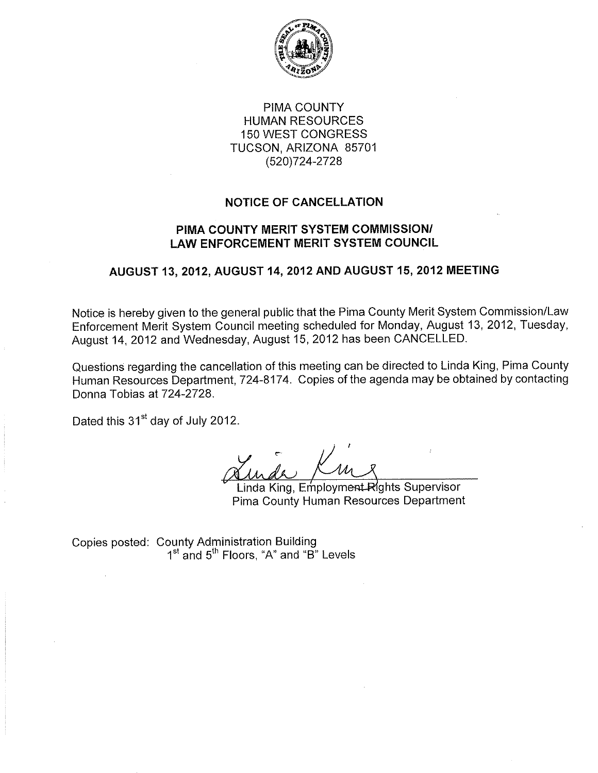

PIMA COUNTY **HUMAN RESOURCES 150 WEST CONGRESS** TUCSON, ARIZONA 85701 (520) 724-2728

### **NOTICE OF CANCELLATION**

### PIMA COUNTY MERIT SYSTEM COMMISSION/ **LAW ENFORCEMENT MERIT SYSTEM COUNCIL**

# AUGUST 13, 2012, AUGUST 14, 2012 AND AUGUST 15, 2012 MEETING

Notice is hereby given to the general public that the Pima County Merit System Commission/Law Enforcement Merit System Council meeting scheduled for Monday, August 13, 2012, Tuesday, August 14, 2012 and Wednesday, August 15, 2012 has been CANCELLED.

Questions regarding the cancellation of this meeting can be directed to Linda King, Pima County Human Resources Department, 724-8174. Copies of the agenda may be obtained by contacting Donna Tobias at 724-2728.

Dated this 31<sup>st</sup> day of July 2012.

Linda King, Employment Rights Supervisor Pima County Human Resources Department

Copies posted: County Administration Building<br>1<sup>st</sup> and 5<sup>th</sup> Floors, "A" and "B" Levels